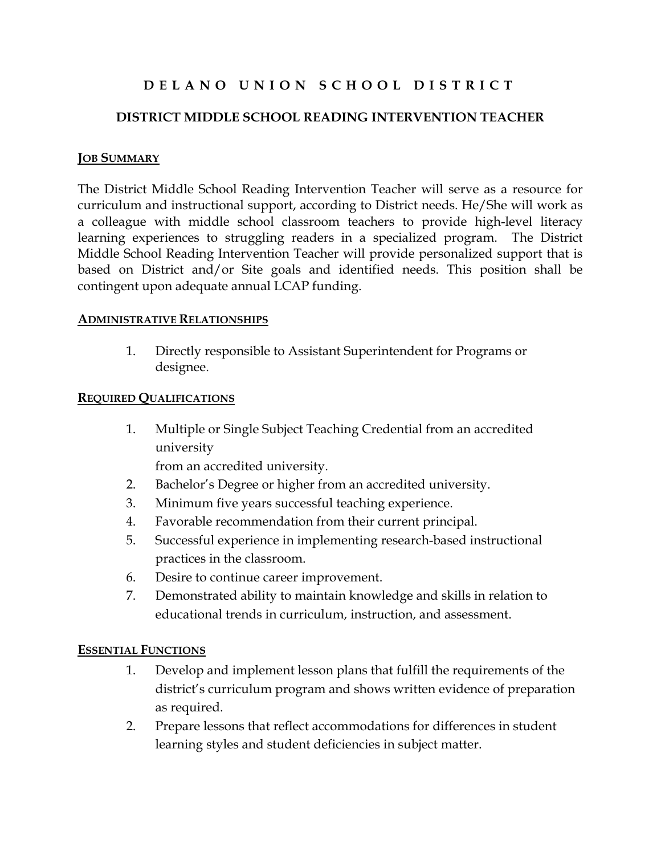# D E L A N O U N I O N S C H O O L D I S T R I C T

## DISTRICT MIDDLE SCHOOL READING INTERVENTION TEACHER

#### **JOB SUMMARY**

The District Middle School Reading Intervention Teacher will serve as a resource for curriculum and instructional support, according to District needs. He/She will work as a colleague with middle school classroom teachers to provide high-level literacy learning experiences to struggling readers in a specialized program. The District Middle School Reading Intervention Teacher will provide personalized support that is based on District and/or Site goals and identified needs. This position shall be contingent upon adequate annual LCAP funding.

#### ADMINISTRATIVE RELATIONSHIPS

1. Directly responsible to Assistant Superintendent for Programs or designee.

#### REQUIRED QUALIFICATIONS

1. Multiple or Single Subject Teaching Credential from an accredited university

from an accredited university.

- 2. Bachelor's Degree or higher from an accredited university.
- 3. Minimum five years successful teaching experience.
- 4. Favorable recommendation from their current principal.
- 5. Successful experience in implementing research-based instructional practices in the classroom.
- 6. Desire to continue career improvement.
- 7. Demonstrated ability to maintain knowledge and skills in relation to educational trends in curriculum, instruction, and assessment.

### ESSENTIAL FUNCTIONS

- 1. Develop and implement lesson plans that fulfill the requirements of the district's curriculum program and shows written evidence of preparation as required.
- 2. Prepare lessons that reflect accommodations for differences in student learning styles and student deficiencies in subject matter.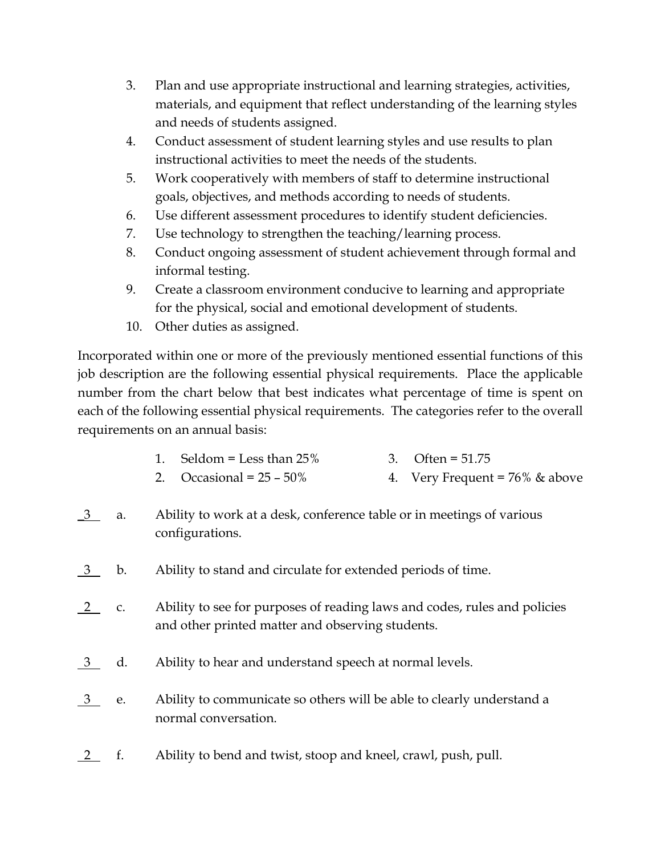- 3. Plan and use appropriate instructional and learning strategies, activities, materials, and equipment that reflect understanding of the learning styles and needs of students assigned.
- 4. Conduct assessment of student learning styles and use results to plan instructional activities to meet the needs of the students.
- 5. Work cooperatively with members of staff to determine instructional goals, objectives, and methods according to needs of students.
- 6. Use different assessment procedures to identify student deficiencies.
- 7. Use technology to strengthen the teaching/learning process.
- 8. Conduct ongoing assessment of student achievement through formal and informal testing.
- 9. Create a classroom environment conducive to learning and appropriate for the physical, social and emotional development of students.
- 10. Other duties as assigned.

Incorporated within one or more of the previously mentioned essential functions of this job description are the following essential physical requirements. Place the applicable number from the chart below that best indicates what percentage of time is spent on each of the following essential physical requirements. The categories refer to the overall requirements on an annual basis:

|  | 1. Seldom = Less than $25\%$ | 3. Often = $51.75$ |  |
|--|------------------------------|--------------------|--|
|--|------------------------------|--------------------|--|

- 2. Occasional =  $25 50\%$  4. Very Frequent =  $76\%$  & above
- <u>3</u> a. Ability to work at a desk, conference table or in meetings of various configurations.
- 3 b. Ability to stand and circulate for extended periods of time.
- 2 c. Ability to see for purposes of reading laws and codes, rules and policies and other printed matter and observing students.
- <u>3</u> d. Ability to hear and understand speech at normal levels.
- 3 e. Ability to communicate so others will be able to clearly understand a normal conversation.
- 2 f. Ability to bend and twist, stoop and kneel, crawl, push, pull.